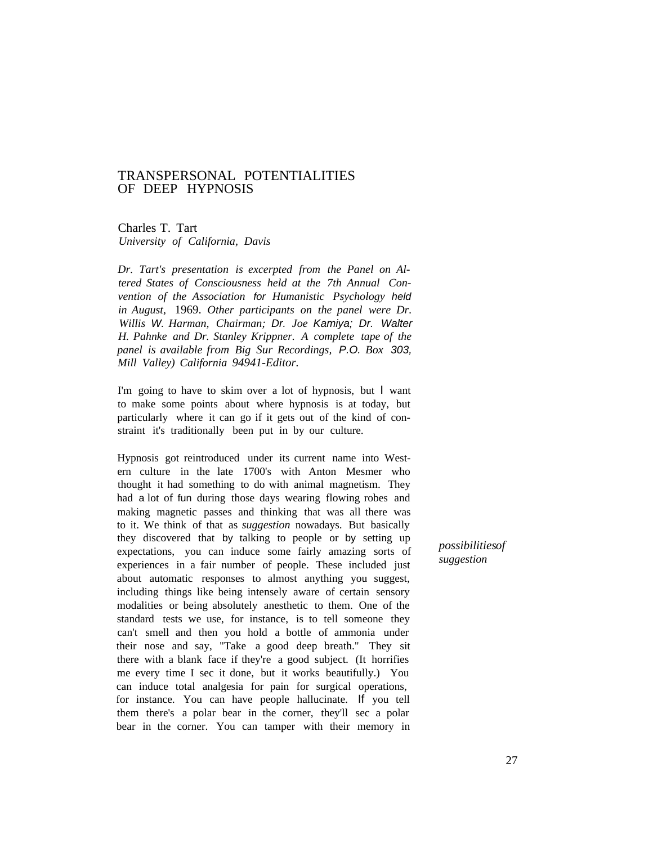## TRANSPERSONAL POTENTIALITIES OF DEEP HYPNOSIS

Charles T. Tart *University of California, Davis*

*Dr. Tart's presentation is excerpted from the Panel on Altered States of Consciousness held at the 7th Annual Convention of the Association* for *Humanistic Psychology* held *in August,* 1969. *Other participants on the panel were Dr. Willis* W. *Harman, Chairman;* Dr. *Joe* Kamiya; Dr. Walter *H. Pahnke and Dr. Stanley Krippner. A complete tape of the panel is available from Big Sur Recordings,* P.O. *Box* 303, *Mill Valley) California 94941-Editor.*

I'm going to have to skim over a lot of hypnosis, but I want to make some points about where hypnosis is at today, but particularly where it can go if it gets out of the kind of constraint it's traditionally been put in by our culture.

Hypnosis got reintroduced under its current name into Western culture in the late 1700's with Anton Mesmer who thought it had something to do with animal magnetism. They had a lot of fun during those days wearing flowing robes and making magnetic passes and thinking that was all there was to it. We think of that as *suggestion* nowadays. But basically they discovered that by talking to people or by setting up expectations, you can induce some fairly amazing sorts of experiences in a fair number of people. These included just about automatic responses to almost anything you suggest, including things like being intensely aware of certain sensory modalities or being absolutely anesthetic to them. One of the standard tests we use, for instance, is to tell someone they can't smell and then you hold a bottle of ammonia under their nose and say, "Take a good deep breath." They sit there with a blank face if they're a good subject. (It horrifies me every time I sec it done, but it works beautifully.) You can induce total analgesia for pain for surgical operations, for instance. You can have people hallucinate. If you tell them there's a polar bear in the corner, they'll sec a polar bear in the corner. You can tamper with their memory in

*possibilitiesof suggestion*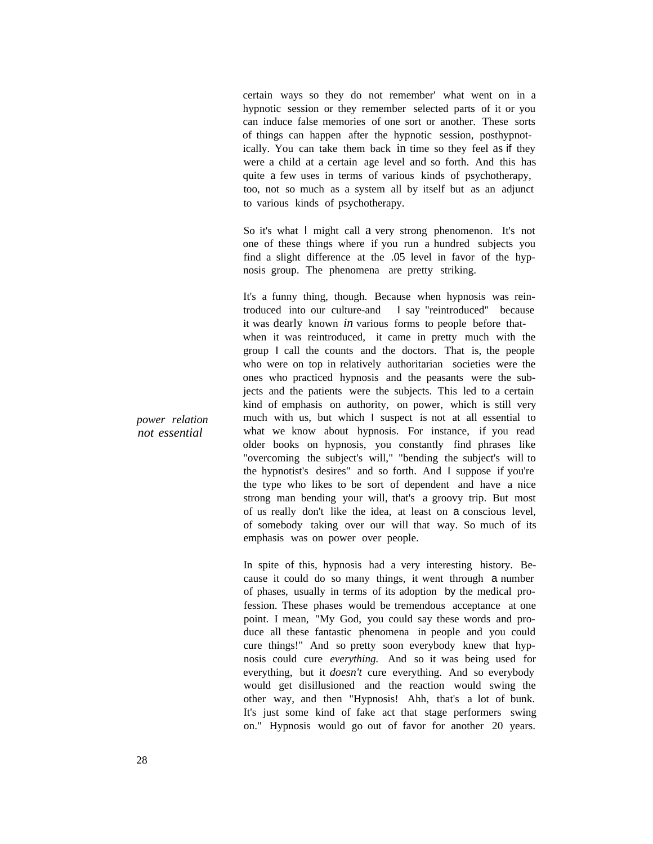certain ways so they do not remember' what went on in a hypnotic session or they remember selected parts of it or you can induce false memories of one sort or another. These sorts of things can happen after the hypnotic session, posthypnotically. You can take them back in time so they feel as if they were a child at a certain age level and so forth. And this has quite a few uses in terms of various kinds of psychotherapy, too, not so much as a system all by itself but as an adjunct to various kinds of psychotherapy.

So it's what I might call a very strong phenomenon. It's not one of these things where if you run a hundred subjects you find a slight difference at the .05 level in favor of the hypnosis group. The phenomena are pretty striking.

It's a funny thing, though. Because when hypnosis was reintroduced into our culture-and I say "reintroduced" because it was dearly known *in* various forms to people before thatwhen it was reintroduced, it came in pretty much with the group I call the counts and the doctors. That is, the people who were on top in relatively authoritarian societies were the ones who practiced hypnosis and the peasants were the subjects and the patients were the subjects. This led to a certain kind of emphasis on authority, on power, which is still very much with us, but which I suspect is not at all essential to what we know about hypnosis. For instance, if you read older books on hypnosis, you constantly find phrases like "overcoming the subject's will," "bending the subject's will to the hypnotist's desires" and so forth. And I suppose if you're the type who likes to be sort of dependent and have a nice strong man bending your will, that's a groovy trip. But most of us really don't like the idea, at least on a conscious level, of somebody taking over our will that way. So much of its emphasis was on power over people.

In spite of this, hypnosis had a very interesting history. Because it could do so many things, it went through a number of phases, usually in terms of its adoption by the medical profession. These phases would be tremendous acceptance at one point. I mean, "My God, you could say these words and produce all these fantastic phenomena in people and you could cure things!" And so pretty soon everybody knew that hypnosis could cure *everything.* And so it was being used for everything, but it *doesn't* cure everything. And so everybody would get disillusioned and the reaction would swing the other way, and then "Hypnosis! Ahh, that's a lot of bunk. It's just some kind of fake act that stage performers swing on." Hypnosis would go out of favor for another 20 years.

*power relation not essential*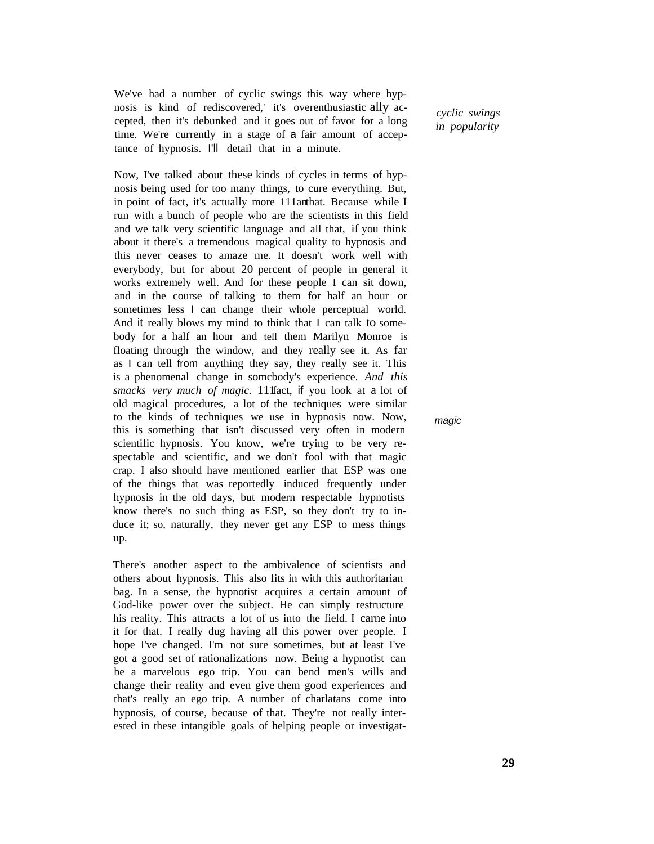We've had a number of cyclic swings this way where hypnosis is kind of rediscovered,' it's overenthusiastic ally accepted, then it's debunked and it goes out of favor for a long time. We're currently in a stage of a fair amount of acceptance of hypnosis. I'll detail that in a minute.

Now, I've talked about these kinds of cycles in terms of hypnosis being used for too many things, to cure everything. But, in point of fact, it's actually more 111anthat. Because while I run with a bunch of people who are the scientists in this field and we talk very scientific language and all that, if you think about it there's a tremendous magical quality to hypnosis and this never ceases to amaze me. It doesn't work well with everybody, but for about 20 percent of people in general it works extremely well. And for these people I can sit down, and in the course of talking to them for half an hour or sometimes less I can change their whole perceptual world. And it really blows my mind to think that I can talk to somebody for a half an hour and tell them Marilyn Monroe is floating through the window, and they really see it. As far as I can tell from anything they say, they really see it. This is a phenomenal change in somcbody's experience. *And this* smacks very much of magic. 11 flact, if you look at a lot of old magical procedures, a lot of the techniques were similar to the kinds of techniques we use in hypnosis now. Now, this is something that isn't discussed very often in modern scientific hypnosis. You know, we're trying to be very respectable and scientific, and we don't fool with that magic crap. I also should have mentioned earlier that ESP was one of the things that was reportedly induced frequently under hypnosis in the old days, but modern respectable hypnotists know there's no such thing as ESP, so they don't try to induce it; so, naturally, they never get any ESP to mess things up.

There's another aspect to the ambivalence of scientists and others about hypnosis. This also fits in with this authoritarian bag. In a sense, the hypnotist acquires a certain amount of God-like power over the subject. He can simply restructure his reality. This attracts a lot of us into the field. I carne into it for that. I really dug having all this power over people. I hope I've changed. I'm not sure sometimes, but at least I've got a good set of rationalizations now. Being a hypnotist can be a marvelous ego trip. You can bend men's wills and change their reality and even give them good experiences and that's really an ego trip. A number of charlatans come into hypnosis, of course, because of that. They're not really interested in these intangible goals of helping people or investigat*cyclic swings in popularity*

magic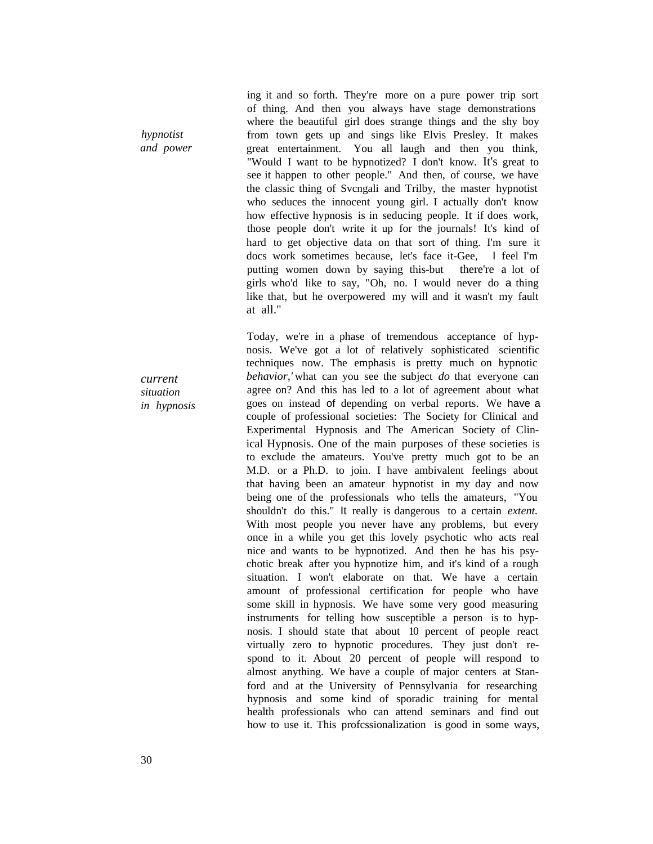*hypnotist and power*

*current situation in hypnosis* ing it and so forth. They're more on a pure power trip sort of thing. And then you always have stage demonstrations where the beautiful girl does strange things and the shy boy from town gets up and sings like Elvis Presley. It makes great entertainment. You all laugh and then you think, "Would I want to be hypnotized? I don't know. It's great to see it happen to other people." And then, of course, we have the classic thing of Svcngali and Trilby, the master hypnotist who seduces the innocent young girl. I actually don't know how effective hypnosis is in seducing people. It if does work, those people don't write it up for the journals! It's kind of hard to get objective data on that sort of thing. I'm sure it docs work sometimes because, let's face it-Gee, I feel I'm putting women down by saying this-but there're a lot of girls who'd like to say, "Oh, no. I would never do a thing like that, but he overpowered my will and it wasn't my fault at all."

Today, we're in a phase of tremendous acceptance of hypnosis. We've got a lot of relatively sophisticated scientific techniques now. The emphasis is pretty much on hypnotic *behavior,'* what can you see the subject *do* that everyone can agree on? And this has led to a lot of agreement about what goes on instead of depending on verbal reports. We have a couple of professional societies: The Society for Clinical and Experimental Hypnosis and The American Society of Clinical Hypnosis. One of the main purposes of these societies is to exclude the amateurs. You've pretty much got to be an M.D. or a Ph.D. to join. I have ambivalent feelings about that having been an amateur hypnotist in my day and now being one of the professionals who tells the amateurs, "You shouldn't do this." It really is dangerous to a certain *extent.* With most people you never have any problems, but every once in a while you get this lovely psychotic who acts real nice and wants to be hypnotized. And then he has his psychotic break after you hypnotize him, and it's kind of a rough situation. I won't elaborate on that. We have a certain amount of professional certification for people who have some skill in hypnosis. We have some very good measuring instruments for telling how susceptible a person is to hypnosis. I should state that about 10 percent of people react virtually zero to hypnotic procedures. They just don't respond to it. About 20 percent of people will respond to almost anything. We have a couple of major centers at Stanford and at the University of Pennsylvania for researching hypnosis and some kind of sporadic training for mental health professionals who can attend seminars and find out how to use it. This professionalization is good in some ways,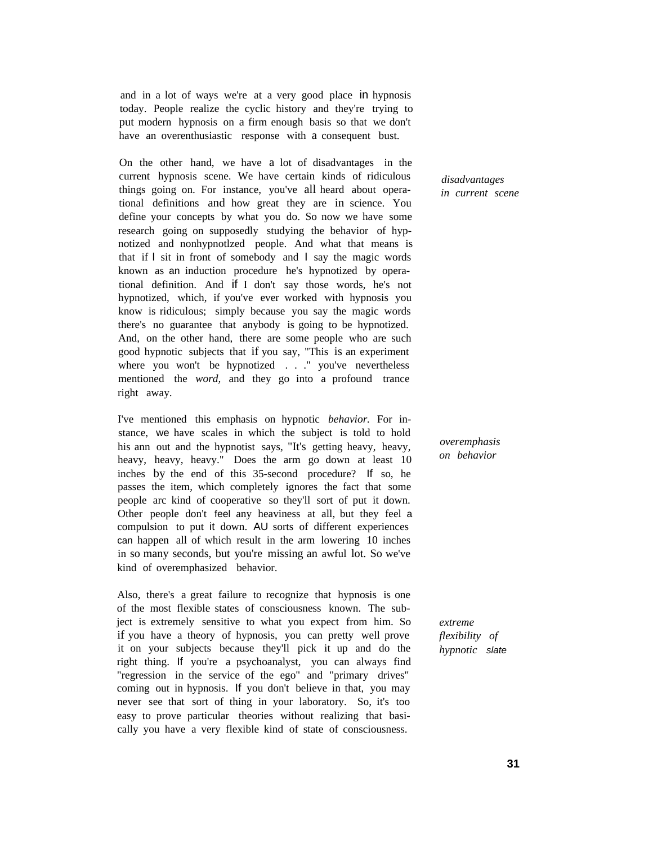and in a lot of ways we're at a very good place in hypnosis today. People realize the cyclic history and they're trying to put modern hypnosis on a firm enough basis so that we don't have an overenthusiastic response with a consequent bust.

On the other hand, we have a lot of disadvantages in the current hypnosis scene. We have certain kinds of ridiculous things going on. For instance, you've all heard about operational definitions and how great they are in science. You define your concepts by what you do. So now we have some research going on supposedly studying the behavior of hypnotized and nonhypnotlzed people. And what that means is that if I sit in front of somebody and I say the magic words known as an induction procedure he's hypnotized by operational definition. And if I don't say those words, he's not hypnotized, which, if you've ever worked with hypnosis you know is ridiculous; simply because you say the magic words there's no guarantee that anybody is going to be hypnotized. And, on the other hand, there are some people who are such good hypnotic subjects that if you say, "This is an experiment where you won't be hypnotized . . . " you've nevertheless mentioned the *word,* and they go into a profound trance right away.

I've mentioned this emphasis on hypnotic *behavior.* For instance, we have scales in which the subject is told to hold his ann out and the hypnotist says, "It's getting heavy, heavy, heavy, heavy, heavy." Does the arm go down at least 10 inches by the end of this 35-second procedure? If so, he passes the item, which completely ignores the fact that some people arc kind of cooperative so they'll sort of put it down. Other people don't feel any heaviness at all, but they feel a compulsion to put it down. AU sorts of different experiences can happen all of which result in the arm lowering 10 inches in so many seconds, but you're missing an awful lot. So we've kind of overemphasized behavior.

Also, there's a great failure to recognize that hypnosis is one of the most flexible states of consciousness known. The subject is extremely sensitive to what you expect from him. So if you have a theory of hypnosis, you can pretty well prove it on your subjects because they'll pick it up and do the right thing. If you're a psychoanalyst, you can always find "regression in the service of the ego" and "primary drives" coming out in hypnosis. If you don't believe in that, you may never see that sort of thing in your laboratory. So, it's too easy to prove particular theories without realizing that basically you have a very flexible kind of state of consciousness.

*disadvantages in current scene*

*overemphasis on behavior*

*extreme flexibility of hypnotic* slate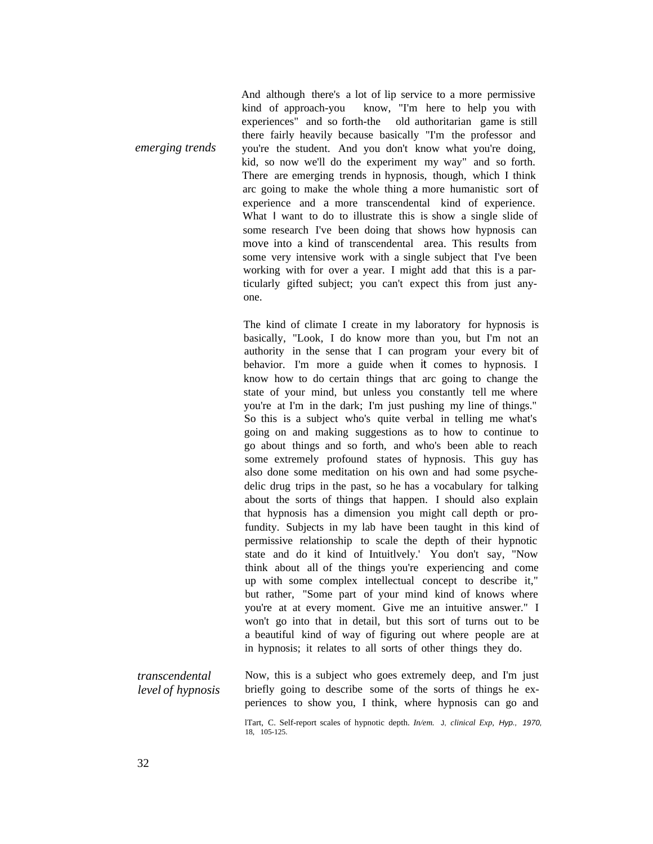*emerging trends* And although there's a lot of lip service to a more permissive kind of approach-you know, "I'm here to help you with experiences" and so forth-the old authoritarian game is still there fairly heavily because basically "I'm the professor and you're the student. And you don't know what you're doing, kid, so now we'll do the experiment my way" and so forth. There are emerging trends in hypnosis, though, which I think arc going to make the whole thing a more humanistic sort of experience and a more transcendental kind of experience. What I want to do to illustrate this is show a single slide of some research I've been doing that shows how hypnosis can move into a kind of transcendental area. This results from some very intensive work with a single subject that I've been working with for over a year. I might add that this is a particularly gifted subject; you can't expect this from just anyone.

> The kind of climate I create in my laboratory for hypnosis is basically, "Look, I do know more than you, but I'm not an authority in the sense that I can program your every bit of behavior. I'm more a guide when it comes to hypnosis. I know how to do certain things that arc going to change the state of your mind, but unless you constantly tell me where you're at I'm in the dark; I'm just pushing my line of things." So this is a subject who's quite verbal in telling me what's going on and making suggestions as to how to continue to go about things and so forth, and who's been able to reach some extremely profound states of hypnosis. This guy has also done some meditation on his own and had some psychedelic drug trips in the past, so he has a vocabulary for talking about the sorts of things that happen. I should also explain that hypnosis has a dimension you might call depth or profundity. Subjects in my lab have been taught in this kind of permissive relationship to scale the depth of their hypnotic state and do it kind of Intuitlvely.' You don't say, "Now think about all of the things you're experiencing and come up with some complex intellectual concept to describe it," but rather, "Some part of your mind kind of knows where you're at at every moment. Give me an intuitive answer." I won't go into that in detail, but this sort of turns out to be a beautiful kind of way of figuring out where people are at in hypnosis; it relates to all sorts of other things they do.

*transcendental level of hypnosis* Now, this is a subject who goes extremely deep, and I'm just briefly going to describe some of the sorts of things he experiences to show you, I think, where hypnosis can go and

> lTart, C. Self-report scales of hypnotic depth. *In/em.* J, *clinical Exp,* Hyp., 1970, 18, 105-125.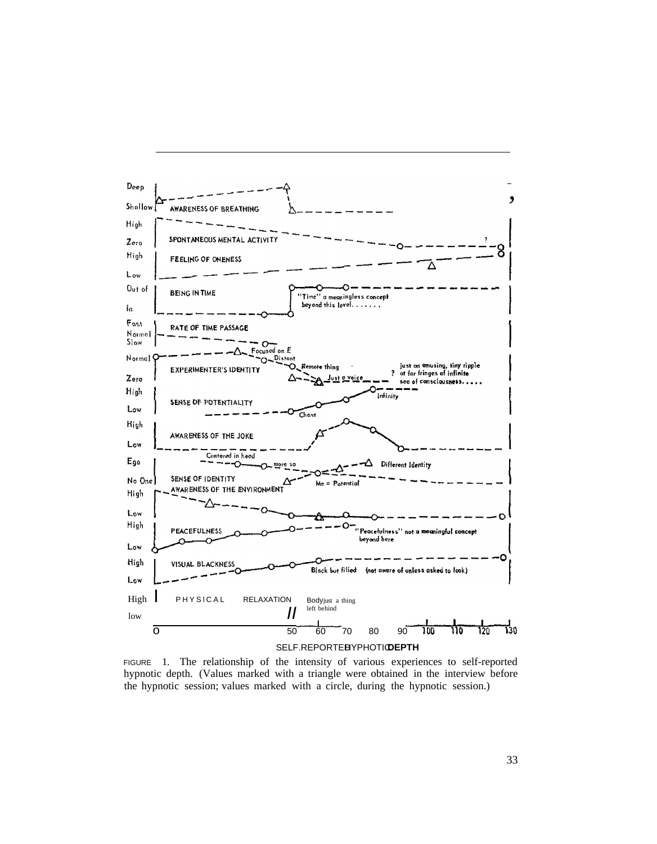

FIGURE 1. The relationship of the intensity of various experiences to self-reported hypnotic depth. (Values marked with a triangle were obtained in the interview before the hypnotic session; values marked with a circle, during the hypnotic session.)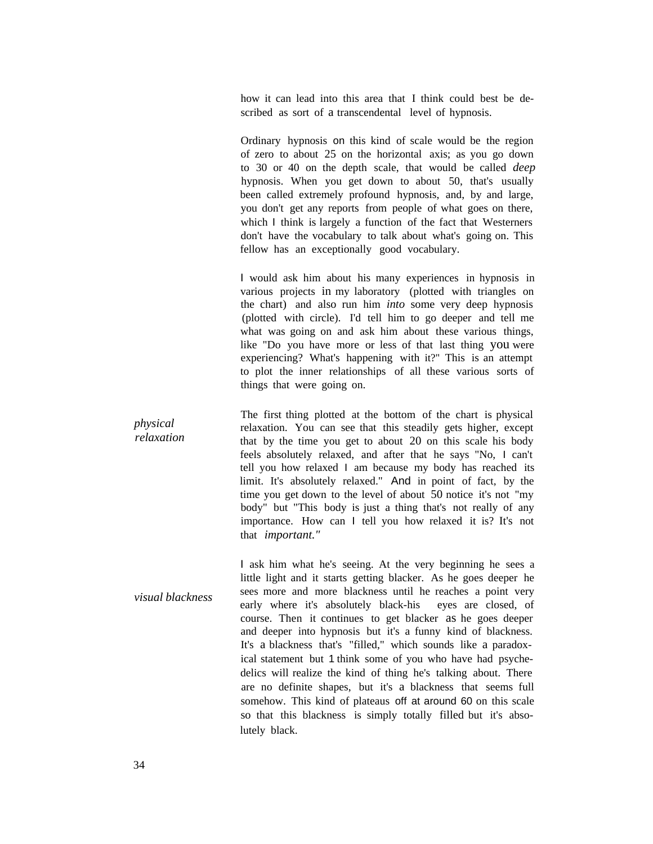how it can lead into this area that I think could best be described as sort of a transcendental level of hypnosis.

Ordinary hypnosis on this kind of scale would be the region of zero to about 25 on the horizontal axis; as you go down to 30 or 40 on the depth scale, that would be called *deep* hypnosis. When you get down to about 50, that's usually been called extremely profound hypnosis, and, by and large, you don't get any reports from people of what goes on there, which I think is largely a function of the fact that Westerners don't have the vocabulary to talk about what's going on. This fellow has an exceptionally good vocabulary.

I would ask him about his many experiences in hypnosis in various projects in my laboratory (plotted with triangles on the chart) and also run him *into* some very deep hypnosis (plotted with circle). I'd tell him to go deeper and tell me what was going on and ask him about these various things, like "Do you have more or less of that last thing you were experiencing? What's happening with it?" This is an attempt to plot the inner relationships of all these various sorts of things that were going on.

*physical relaxation* The first thing plotted at the bottom of the chart is physical relaxation. You can see that this steadily gets higher, except that by the time you get to about 20 on this scale his body feels absolutely relaxed, and after that he says "No, I can't tell you how relaxed I am because my body has reached its limit. It's absolutely relaxed." And in point of fact, by the time you get down to the level of about 50 notice it's not "my body" but "This body is just a thing that's not really of any importance. How can I tell you how relaxed it is? It's not that *important."*

*visual blackness* I ask him what he's seeing. At the very beginning he sees a little light and it starts getting blacker. As he goes deeper he sees more and more blackness until he reaches a point very early where it's absolutely black-his eyes are closed, of course. Then it continues to get blacker as he goes deeper and deeper into hypnosis but it's a funny kind of blackness. It's a blackness that's "filled," which sounds like a paradoxical statement but 1 think some of you who have had psychedelics will realize the kind of thing he's talking about. There are no definite shapes, but it's a blackness that seems full somehow. This kind of plateaus off at around 60 on this scale so that this blackness is simply totally filled but it's absolutely black.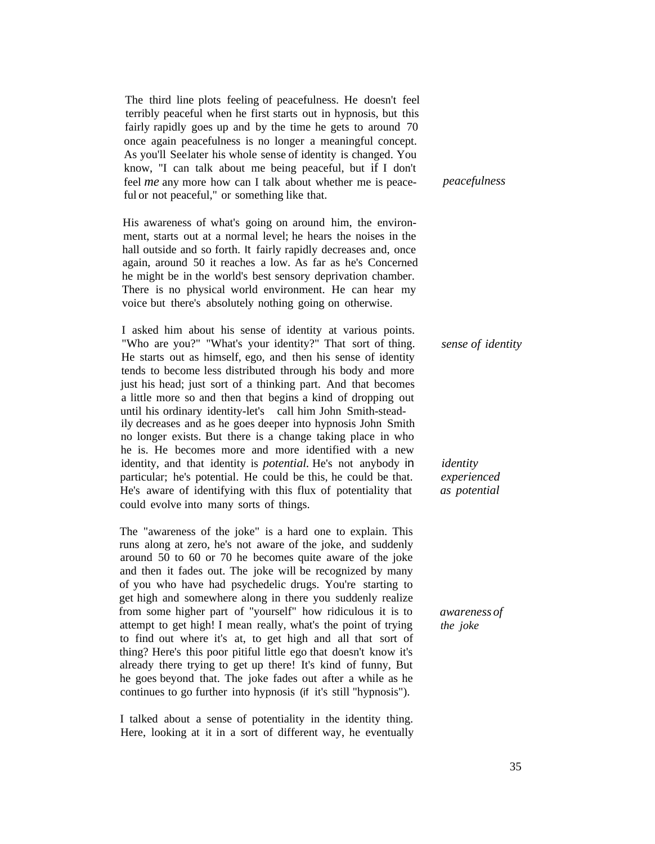The third line plots feeling of peacefulness. He doesn't feel terribly peaceful when he first starts out in hypnosis, but this fairly rapidly goes up and by the time he gets to around 70 once again peacefulness is no longer a meaningful concept. As you'll Seelater his whole sense of identity is changed. You know, "I can talk about me being peaceful, but if I don't feel *me* any more how can I talk about whether me is peaceful or not peaceful," or something like that.

His awareness of what's going on around him, the environment, starts out at a normal level; he hears the noises in the hall outside and so forth. It fairly rapidly decreases and, once again, around 50 it reaches a low. As far as he's Concerned he might be in the world's best sensory deprivation chamber. There is no physical world environment. He can hear my voice but there's absolutely nothing going on otherwise.

I asked him about his sense of identity at various points. "Who are you?" "What's your identity?" That sort of thing. He starts out as himself, ego, and then his sense of identity tends to become less distributed through his body and more just his head; just sort of a thinking part. And that becomes a little more so and then that begins a kind of dropping out until his ordinary identity-let's call him John Smith-steadily decreases and as he goes deeper into hypnosis John Smith no longer exists. But there is a change taking place in who he is. He becomes more and more identified with a new identity, and that identity is *potential.* He's not anybody in particular; he's potential. He could be this, he could be that. He's aware of identifying with this flux of potentiality that could evolve into many sorts of things.

The "awareness of the joke" is a hard one to explain. This runs along at zero, he's not aware of the joke, and suddenly around 50 to 60 or 70 he becomes quite aware of the joke and then it fades out. The joke will be recognized by many of you who have had psychedelic drugs. You're starting to get high and somewhere along in there you suddenly realize from some higher part of "yourself" how ridiculous it is to attempt to get high! I mean really, what's the point of trying to find out where it's at, to get high and all that sort of thing? Here's this poor pitiful little ego that doesn't know it's already there trying to get up there! It's kind of funny, But he goes beyond that. The joke fades out after a while as he continues to go further into hypnosis (if it's still "hypnosis").

I talked about a sense of potentiality in the identity thing. Here, looking at it in a sort of different way, he eventually *peacefulness*

*sense of identity*

*identity experienced as potential*

*awareness of the joke*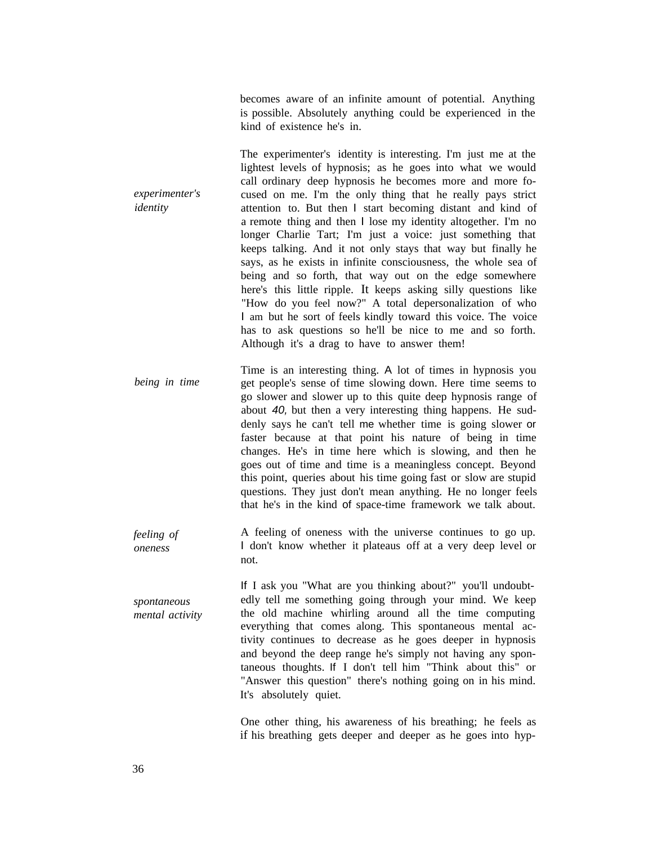becomes aware of an infinite amount of potential. Anything is possible. Absolutely anything could be experienced in the kind of existence he's in.

*experimenter's identity* The experimenter's identity is interesting. I'm just me at the lightest levels of hypnosis; as he goes into what we would call ordinary deep hypnosis he becomes more and more focused on me. I'm the only thing that he really pays strict attention to. But then I start becoming distant and kind of a remote thing and then I lose my identity altogether. I'm no longer Charlie Tart; I'm just a voice: just something that keeps talking. And it not only stays that way but finally he says, as he exists in infinite consciousness, the whole sea of being and so forth, that way out on the edge somewhere here's this little ripple. It keeps asking silly questions like "How do you feel now?" A total depersonalization of who I am but he sort of feels kindly toward this voice. The voice has to ask questions so he'll be nice to me and so forth. Although it's a drag to have to answer them!

*being in time* Time is an interesting thing. A lot of times in hypnosis you get people's sense of time slowing down. Here time seems to go slower and slower up to this quite deep hypnosis range of about 40, but then a very interesting thing happens. He suddenly says he can't tell me whether time is going slower or faster because at that point his nature of being in time changes. He's in time here which is slowing, and then he goes out of time and time is a meaningless concept. Beyond this point, queries about his time going fast or slow are stupid questions. They just don't mean anything. He no longer feels that he's in the kind of space-time framework we talk about.

*feeling of oneness* A feeling of oneness with the universe continues to go up. I don't know whether it plateaus off at a very deep level or not.

> If I ask you "What are you thinking about?" you'll undoubtedly tell me something going through your mind. We keep the old machine whirling around all the time computing everything that comes along. This spontaneous mental activity continues to decrease as he goes deeper in hypnosis and beyond the deep range he's simply not having any spontaneous thoughts. If I don't tell him "Think about this" or "Answer this question" there's nothing going on in his mind. It's absolutely quiet.

One other thing, his awareness of his breathing; he feels as if his breathing gets deeper and deeper as he goes into hyp-

*spontaneous mental activity*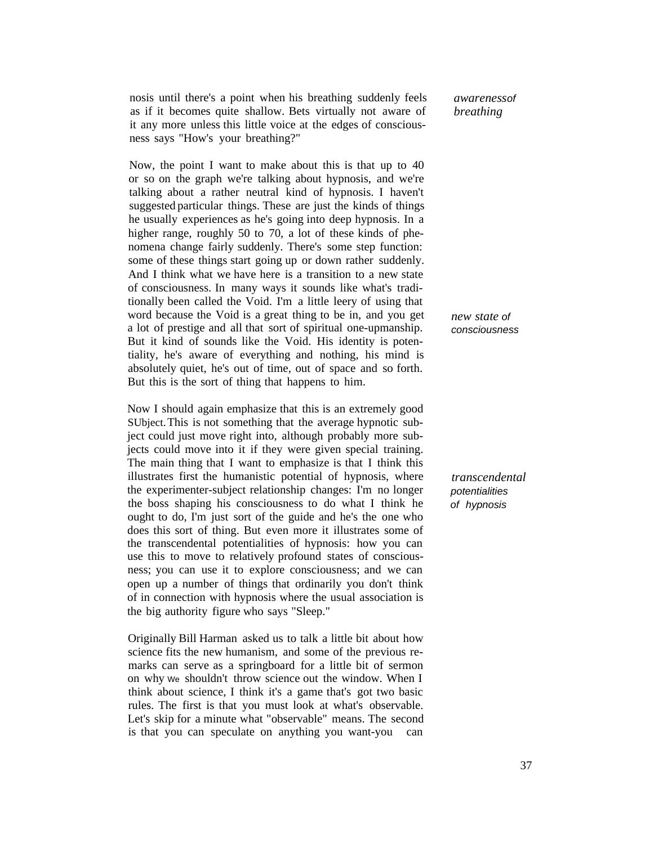nosis until there's a point when his breathing suddenly feels as if it becomes quite shallow. Bets virtually not aware of it any more unless this little voice at the edges of consciousness says "How's your breathing?"

Now, the point I want to make about this is that up to 40 or so on the graph we're talking about hypnosis, and we're talking about a rather neutral kind of hypnosis. I haven't suggested particular things. These are just the kinds of things he usually experiences as he's going into deep hypnosis. In a higher range, roughly 50 to 70, a lot of these kinds of phenomena change fairly suddenly. There's some step function: some of these things start going up or down rather suddenly. And I think what we have here is a transition to a new state of consciousness. In many ways it sounds like what's traditionally been called the Void. I'm a little leery of using that word because the Void is a great thing to be in, and you get a lot of prestige and all that sort of spiritual one-upmanship. But it kind of sounds like the Void. His identity is potentiality, he's aware of everything and nothing, his mind is absolutely quiet, he's out of time, out of space and so forth. But this is the sort of thing that happens to him.

Now I should again emphasize that this is an extremely good SUbject.This is not something that the average hypnotic subject could just move right into, although probably more subjects could move into it if they were given special training. The main thing that I want to emphasize is that I think this illustrates first the humanistic potential of hypnosis, where the experimenter-subject relationship changes: I'm no longer the boss shaping his consciousness to do what I think he ought to do, I'm just sort of the guide and he's the one who does this sort of thing. But even more it illustrates some of the transcendental potentialities of hypnosis: how you can use this to move to relatively profound states of consciousness; you can use it to explore consciousness; and we can open up a number of things that ordinarily you don't think of in connection with hypnosis where the usual association is the big authority figure who says "Sleep."

Originally Bill Harman asked us to talk a little bit about how science fits the new humanism, and some of the previous remarks can serve as a springboard for a little bit of sermon on why We shouldn't throw science out the window. When I think about science, I think it's a game that's got two basic rules. The first is that you must look at what's observable. Let's skip for a minute what "observable" means. The second is that you can speculate on anything you want-you can

## *awareness*of *breathing*

*new state* of consciousness

*transcendental* potentialities of hypnosis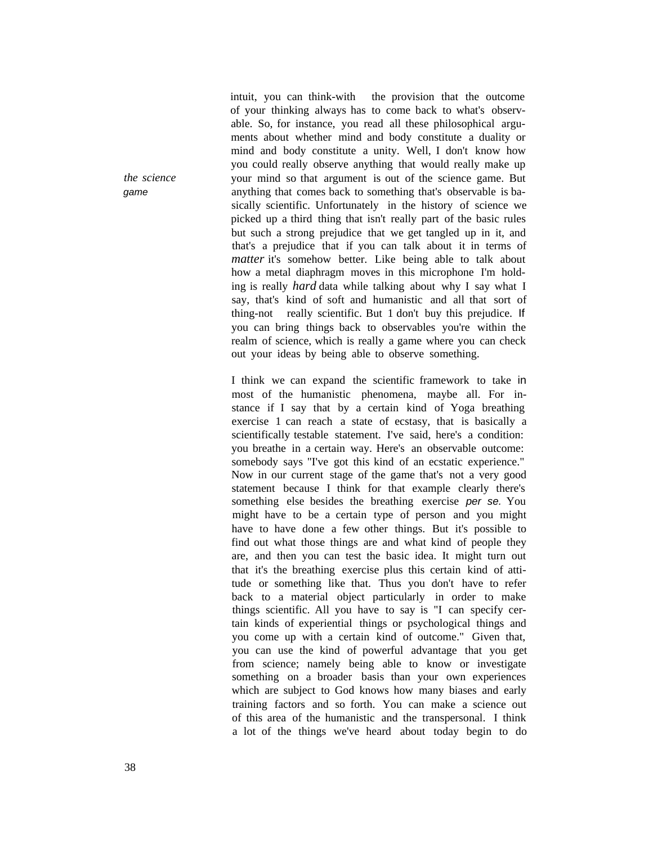intuit, you can think-with the provision that the outcome of your thinking always has to come back to what's observable. So, for instance, you read all these philosophical arguments about whether mind and body constitute a duality or mind and body constitute a unity. Well, I don't know how you could really observe anything that would really make up your mind so that argument is out of the science game. But anything that comes back to something that's observable is basically scientific. Unfortunately in the history of science we picked up a third thing that isn't really part of the basic rules but such a strong prejudice that we get tangled up in it, and that's a prejudice that if you can talk about it in terms of *matter* it's somehow better. Like being able to talk about how a metal diaphragm moves in this microphone I'm holding is really *hard* data while talking about why I say what I say, that's kind of soft and humanistic and all that sort of thing-not really scientific. But 1 don't buy this prejudice. If you can bring things back to observables you're within the realm of science, which is really a game where you can check out your ideas by being able to observe something.

I think we can expand the scientific framework to take in most of the humanistic phenomena, maybe all. For instance if I say that by a certain kind of Yoga breathing exercise 1 can reach a state of ecstasy, that is basically a scientifically testable statement. I've said, here's a condition: you breathe in a certain way. Here's an observable outcome: somebody says "I've got this kind of an ecstatic experience." Now in our current stage of the game that's not a very good statement because I think for that example clearly there's something else besides the breathing exercise per se. You might have to be a certain type of person and you might have to have done a few other things. But it's possible to find out what those things are and what kind of people they are, and then you can test the basic idea. It might turn out that it's the breathing exercise plus this certain kind of attitude or something like that. Thus you don't have to refer back to a material object particularly in order to make things scientific. All you have to say is "I can specify certain kinds of experiential things or psychological things and you come up with a certain kind of outcome." Given that, you can use the kind of powerful advantage that you get from science; namely being able to know or investigate something on a broader basis than your own experiences which are subject to God knows how many biases and early training factors and so forth. You can make a science out of this area of the humanistic and the transpersonal. I think a lot of the things we've heard about today begin to do

*the science* game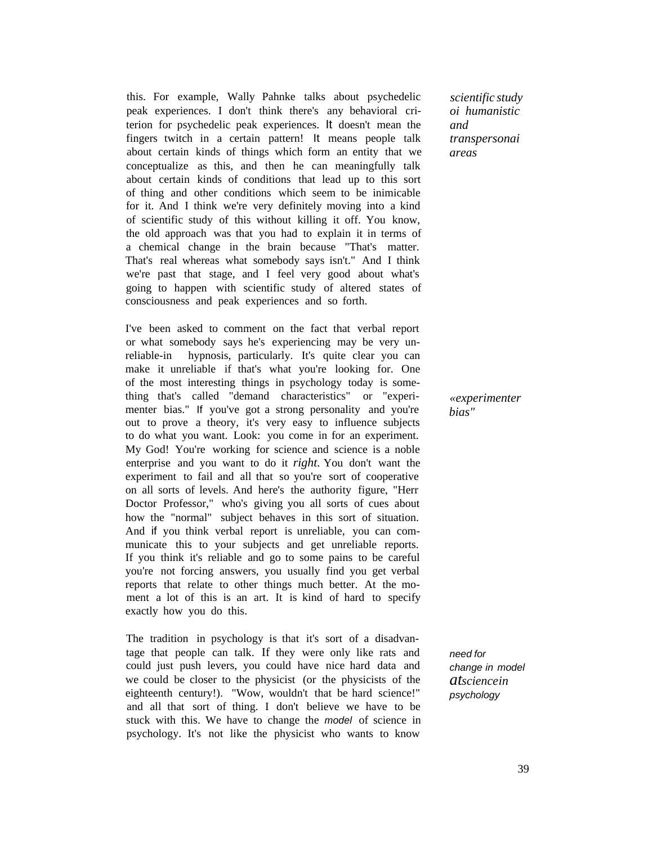this. For example, Wally Pahnke talks about psychedelic peak experiences. I don't think there's any behavioral criterion for psychedelic peak experiences. It doesn't mean the fingers twitch in a certain pattern! It means people talk about certain kinds of things which form an entity that we conceptualize as this, and then he can meaningfully talk about certain kinds of conditions that lead up to this sort of thing and other conditions which seem to be inimicable for it. And I think we're very definitely moving into a kind of scientific study of this without killing it off. You know, the old approach was that you had to explain it in terms of a chemical change in the brain because "That's matter. That's real whereas what somebody says isn't." And I think we're past that stage, and I feel very good about what's going to happen with scientific study of altered states of consciousness and peak experiences and so forth.

I've been asked to comment on the fact that verbal report or what somebody says he's experiencing may be very unreliable-in hypnosis, particularly. It's quite clear you can make it unreliable if that's what you're looking for. One of the most interesting things in psychology today is something that's called "demand characteristics" or "experimenter bias." If you've got a strong personality and you're out to prove a theory, it's very easy to influence subjects to do what you want. Look: you come in for an experiment. My God! You're working for science and science is a noble enterprise and you want to do it *right.* You don't want the experiment to fail and all that so you're sort of cooperative on all sorts of levels. And here's the authority figure, "Herr Doctor Professor," who's giving you all sorts of cues about how the "normal" subject behaves in this sort of situation. And if you think verbal report is unreliable, you can communicate this to your subjects and get unreliable reports. If you think it's reliable and go to some pains to be careful you're not forcing answers, you usually find you get verbal reports that relate to other things much better. At the moment a lot of this is an art. It is kind of hard to specify exactly how you do this.

The tradition in psychology is that it's sort of a disadvantage that people can talk. If they were only like rats and could just push levers, you could have nice hard data and we could be closer to the physicist (or the physicists of the eighteenth century!). "Wow, wouldn't that be hard science!" and all that sort of thing. I don't believe we have to be stuck with this. We have to change the *model* of science in psychology. It's not like the physicist who wants to know

*scientific study oi humanistic and transpersonai areas*

*«experimenter bias"*

need for change in model *atsciencein* psychology